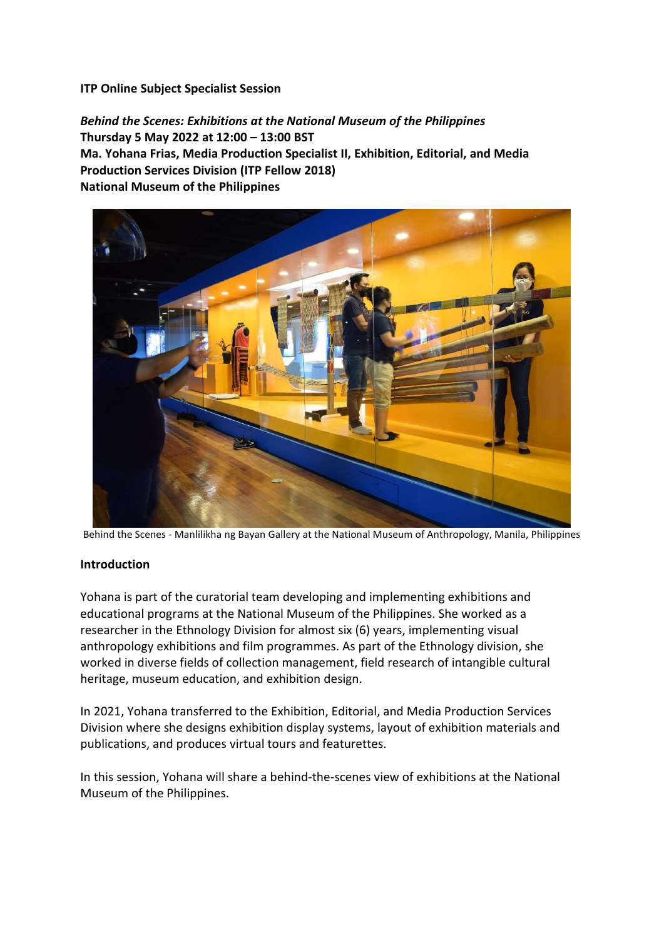## **ITP Online Subject Specialist Session**

*Behind the Scenes: Exhibitions at the National Museum of the Philippines* **Thursday 5 May 2022 at 12:00 – 13:00 BST Ma. Yohana Frias, Media Production Specialist II, Exhibition, Editorial, and Media Production Services Division (ITP Fellow 2018) National Museum of the Philippines**



Behind the Scenes - Manlilikha ng Bayan Gallery at the National Museum of Anthropology, Manila, Philippines

## **Introduction**

Yohana is part of the curatorial team developing and implementing exhibitions and educational programs at the National Museum of the Philippines. She worked as a researcher in the Ethnology Division for almost six (6) years, implementing visual anthropology exhibitions and film programmes. As part of the Ethnology division, she worked in diverse fields of collection management, field research of intangible cultural heritage, museum education, and exhibition design.

In 2021, Yohana transferred to the Exhibition, Editorial, and Media Production Services Division where she designs exhibition display systems, layout of exhibition materials and publications, and produces virtual tours and featurettes.

In this session, Yohana will share a behind-the-scenes view of exhibitions at the National Museum of the Philippines.